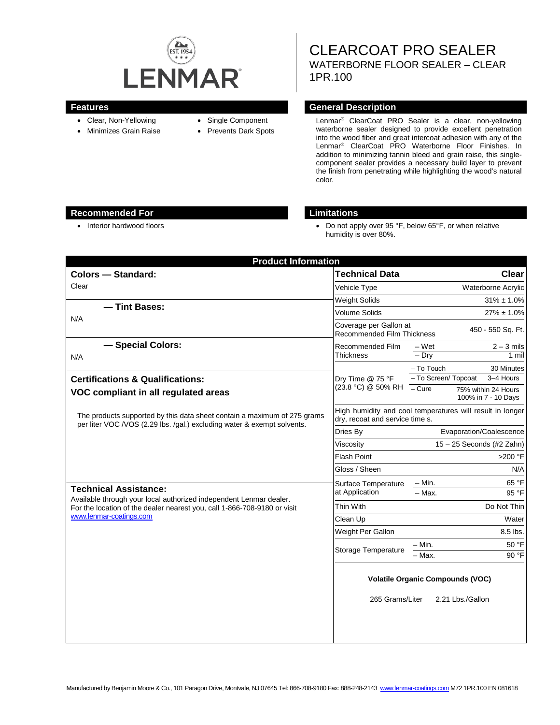

- Clear, Non-Yellowing
- Minimizes Grain Raise
- Single Component
- Prevents Dark Spots

CLEARCOAT PRO SEALER WATERBORNE FLOOR SEALER – CLEAR 1PR.100

## **Features General Description**

Lenmar® ClearCoat PRO Sealer is a clear, non-yellowing waterborne sealer designed to provide excellent penetration into the wood fiber and great intercoat adhesion with any of the Lenmar® ClearCoat PRO Waterborne Floor Finishes. In addition to minimizing tannin bleed and grain raise, this singlecomponent sealer provides a necessary build layer to prevent the finish from penetrating while highlighting the wood's natural color.

## **Recommended For Limitations**

• Interior hardwood floors **•** Do not apply over 95 °F, below 65°F, or when relative humidity is over 80%.

| <b>Product Information</b>                                                                                                                                                                                |                                                                                              |                                              |
|-----------------------------------------------------------------------------------------------------------------------------------------------------------------------------------------------------------|----------------------------------------------------------------------------------------------|----------------------------------------------|
| <b>Colors - Standard:</b>                                                                                                                                                                                 | <b>Technical Data</b>                                                                        | Clear                                        |
| Clear                                                                                                                                                                                                     | Vehicle Type                                                                                 | Waterborne Acrylic                           |
|                                                                                                                                                                                                           | <b>Weight Solids</b>                                                                         | $31\% \pm 1.0\%$                             |
| - Tint Bases:                                                                                                                                                                                             | Volume Solids                                                                                | $27\% \pm 1.0\%$                             |
| N/A                                                                                                                                                                                                       | Coverage per Gallon at<br>450 - 550 Sq. Ft.<br>Recommended Film Thickness                    |                                              |
| - Special Colors:                                                                                                                                                                                         | Recommended Film                                                                             | – Wet<br>$2 - 3$ mils                        |
| N/A                                                                                                                                                                                                       | <b>Thickness</b>                                                                             | $-$ Drv<br>1 mil                             |
|                                                                                                                                                                                                           |                                                                                              | - To Touch<br>30 Minutes                     |
| <b>Certifications &amp; Qualifications:</b>                                                                                                                                                               | Dry Time @ 75 °F<br>(23.8 °C) @ 50% RH                                                       | - To Screen/ Topcoat<br>3-4 Hours<br>$-Cure$ |
| VOC compliant in all regulated areas                                                                                                                                                                      |                                                                                              | 75% within 24 Hours<br>100% in 7 - 10 Days   |
| The products supported by this data sheet contain a maximum of 275 grams<br>per liter VOC /VOS (2.29 lbs. /gal.) excluding water & exempt solvents.                                                       | High humidity and cool temperatures will result in longer<br>dry, recoat and service time s. |                                              |
|                                                                                                                                                                                                           | Dries By                                                                                     | Evaporation/Coalescence                      |
|                                                                                                                                                                                                           | Viscositv                                                                                    | $15 - 25$ Seconds (#2 Zahn)                  |
|                                                                                                                                                                                                           | <b>Flash Point</b>                                                                           | >200 °F                                      |
|                                                                                                                                                                                                           | Gloss / Sheen                                                                                | N/A                                          |
| <b>Technical Assistance:</b><br>Available through your local authorized independent Lenmar dealer.<br>For the location of the dealer nearest you, call 1-866-708-9180 or visit<br>www.lenmar-coatings.com | Surface Temperature<br>at Application                                                        | 65 °F<br>- Min.                              |
|                                                                                                                                                                                                           |                                                                                              | 95 °F<br>$-$ Max.                            |
|                                                                                                                                                                                                           | Thin With                                                                                    | Do Not Thin                                  |
|                                                                                                                                                                                                           | Clean Up                                                                                     | Water                                        |
|                                                                                                                                                                                                           | Weight Per Gallon                                                                            | 8.5 lbs.                                     |
|                                                                                                                                                                                                           | Storage Temperature                                                                          | $-$ Min.<br>50 °F                            |
|                                                                                                                                                                                                           |                                                                                              | $-$ Max.<br>90 °F                            |
|                                                                                                                                                                                                           | <b>Volatile Organic Compounds (VOC)</b><br>265 Grams/Liter<br>2.21 Lbs./Gallon               |                                              |
|                                                                                                                                                                                                           |                                                                                              |                                              |